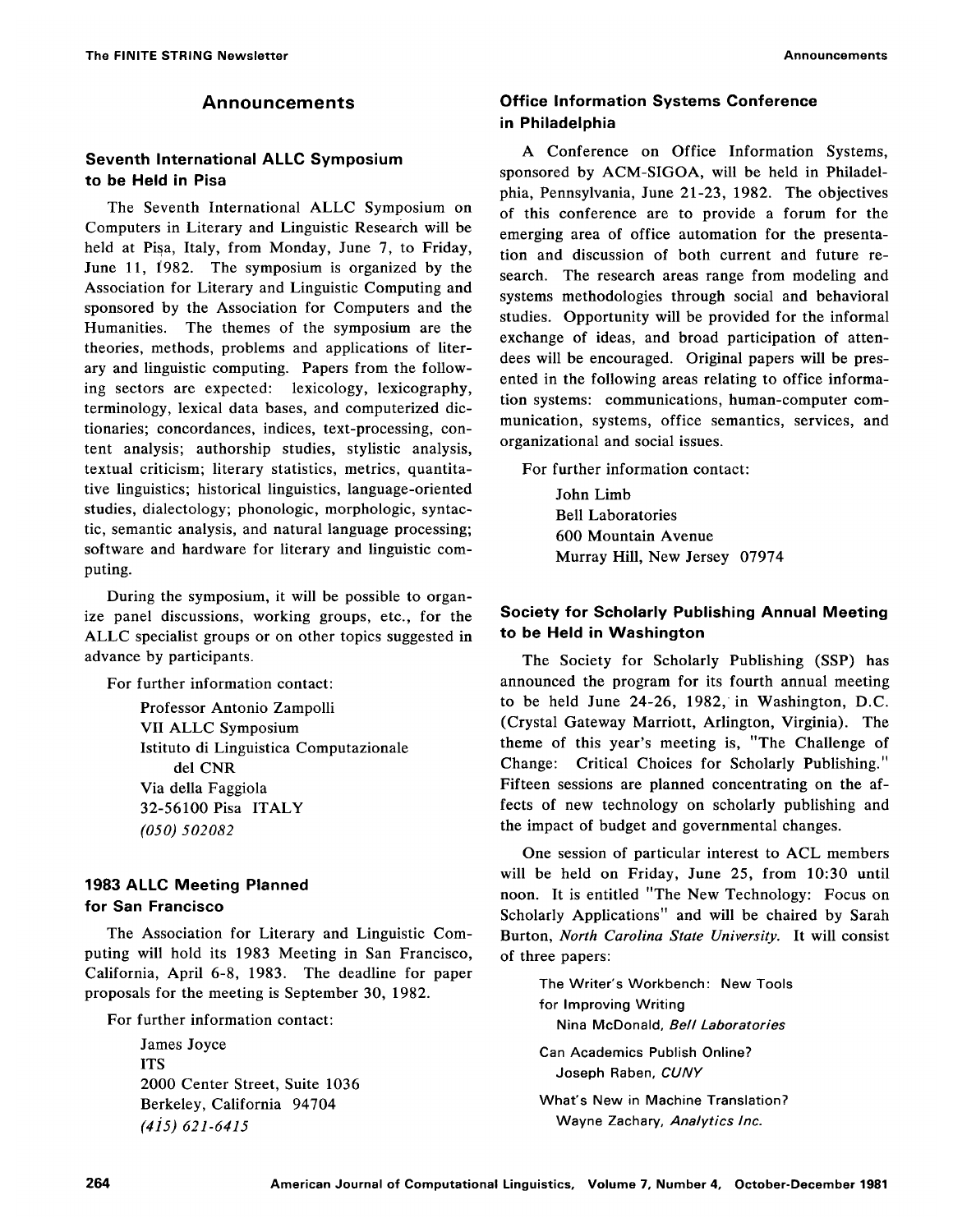# **Announcements**

# **Seventh International ALLC Symposium to be Held in Pisa**

The Seventh International ALLC Symposium on Computers in Literary and Linguistic Research will be held at Pisa, Italy, from Monday, June 7, to Friday, June 11, t982. The symposium is organized by the Association for Literary and Linguistic Computing and sponsored by the Association for Computers and the Humanities. The themes of the symposium are the theories, methods, problems and applications of literary and linguistic computing. Papers from the following sectors are expected: lexicology, lexicography, terminology, lexical data bases, and computerized dictionaries; concordances, indices, text-processing, content analysis; authorship studies, stylistic analysis, textual criticism; literary statistics, metrics, quantitative linguistics; historical linguistics, language-oriented studies, dialectology; phonologic, morphologic, syntactic, semantic analysis, and natural language processing; software and hardware for literary and linguistic computing.

During the symposium, it will be possible to organize panel discussions, working groups, etc., for the ALLC specialist groups or on other topics suggested in advance by participants.

For further information contact:

Professor Antonio Zampolli VII ALLC Symposium Istituto di Linguistica Computazionale del CNR Via della Faggiola 32-56100 Pisa ITALY *(050) 502082* 

## **1983 ALLC Meeting Planned for San Francisco**

The Association for Literary and Linguistic Computing will hold its 1983 Meeting in San Francisco, California, April 6-8, 1983. The deadline for paper proposals for the meeting is September 30, 1982.

For further information contact:

James Joyce ITS 2000 Center Street, Suite 1036 Berkeley, California 94704 *(415) 621-6415* 

## **Office Information Systems Conference in Philadelphia**

A Conference on Office Information Systems, sponsored by ACM-SIGOA, will be held in Philadelphia, Pennsylvania, June 21-23, 1982. The objectives of this conference are to provide a forum for the emerging area of office automation for the presentation and discussion of both current and future research. The research areas range from modeling and systems methodologies through social and behavioral studies. Opportunity will be provided for the informal exchange of ideas, and broad participation of attendees will be encouraged. Original papers will be presented in the following areas relating to office information systems: communications, human-computer communication, systems, office semantics, services, and organizational and social issues.

For further information contact:

John Limb Bell Laboratories 600 Mountain Avenue Murray Hill, New Jersey 07974

# **Society for Scholarly Publishing Annual Meeting to be Held in Washington**

The Society for Scholarly Publishing (SSP) has announced the program for its fourth annual meeting to be held June 24-26, 1982, in Washington, D.C. (Crystal Gateway Marriott, Arlington, Virginia). The theme of this year's meeting is, "The Challenge of Change: Critical Choices for Scholarly Publishing." Fifteen sessions are planned concentrating on the affects of new technology on scholarly publishing and the impact of budget and governmental changes.

One session of particular interest to ACL members will be held on Friday, June 25, from 10:30 until noon. It is entitled "The New Technology: Focus on Scholarly Applications" and will be chaired by Sarah Burton, *North Carolina State University.* It will consist of three papers:

The Writer's Workbench: New Tools for Improving Writing Nina McDonald, *Bell Laboratories* 

Can Academics Publish Online? Joseph Raben, *CUNY* 

What's New in Machine Translation? Wayne Zachary, *Analytics Inc.*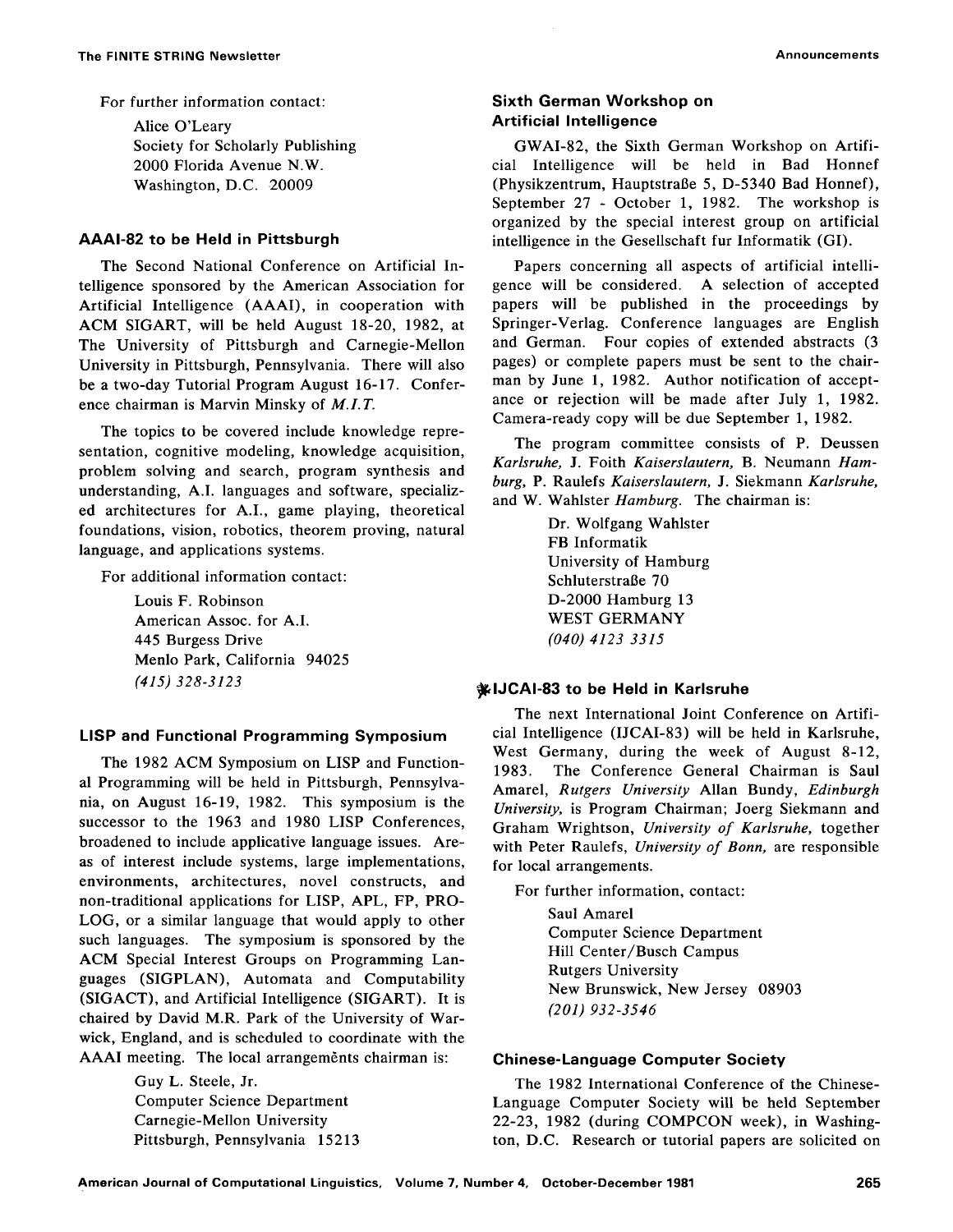For further information contact:

Alice O'Leary Society for Scholarly Publishing 2000 Florida Avenue N.W. Washington, D.C. 20009

## **AAAI-82 to be Held in Pittsburgh**

The Second National Conference on Artificial Intelligence sponsored by the American Association for Artificial Intelligence (AAAI), in cooperation with ACM SIGART, will be held August 18-20, 1982, at The University of Pittsburgh and Carnegie-Mellon University in Pittsburgh, Pennsylvania. There will also be a two-day Tutorial Program August 16-17. Conference chairman is Marvin Minsky of *M.I.T.* 

The topics to be covered include knowledge representation, cognitive modeling, knowledge acquisition, problem solving and search, program synthesis and understanding, A.I. languages and software, specialized architectures for A.I., game playing, theoretical foundations, vision, robotics, theorem proving, natural language, and applications systems.

For additional information contact:

Louis F. Robinson American Assoc. for A.I. 445 Burgess Drive Menlo Park, California 94025 *(415) 328-3123* 

### **LISP and Functional Programming Symposium**

The 1982 ACM Symposium on LISP and Functional Programming will be held in Pittsburgh, Pennsylvania, on August 16-19, 1982. This symposium is the successor to the 1963 and 1980 LISP Conferences, broadened to include applicative language issues. Areas of interest include systems, large implementations, environments, architectures, novel constructs, and non-traditional applications for LISP, APL, FP, PRO-LOG, or a similar language that would apply to other such languages. The symposium is sponsored by the ACM Special Interest Groups on Programming Languages (SIGPLAN), Automata and Computability (SIGACT), and Artificial Intelligence (SIGART). It is chaired by David M.R. Park of the University of Warwick, England, and is scheduled to coordinate with the AAAI meeting. The local arrangements chairman is:

> Guy L. Steele, Jr. Computer Science Department Carnegie-Mellon University Pittsburgh, Pennsylvania 15213

## **Sixth German Workshop on Artificial Intelligence**

GWAI-82, the Sixth German Workshop on Artificial Intelligence will be held in Bad Honnef (Physikzentrum, HauptstraBe 5, D-5340 Bad Honnef), September 27 - October 1, 1982. The workshop is organized by the special interest group on artificial intelligence in the Gesellschaft fur Informatik (GI).

Papers concerning all aspects of artificial intelligence will be considered. A selection of accepted papers will be published in the proceedings by Springer-Verlag. Conference languages are English and German. Four copies of extended abstracts (3 pages) or complete papers must be sent to the chairman by June 1, 1982. Author notification of acceptance or rejection will be made after July 1, 1982. Camera-ready copy will be due September 1, 1982.

The program committee consists of P. Deussen *Karlsruhe,* J. Foith *Kaiserslautern,* B. Neumann *Hamburg,* P. Raulefs *Kaiserslautern,* J. Siekmann *Karlsruhe,*  and W. Wahlster *Hamburg.* The chairman is:

> Dr. Wolfgang Wahlster FB Informatik University of Hamburg SchluterstraBe 70 D-2000 Hamburg 13 WEST GERMANY *(040) 4123 3315*

#### **~,IJCAI-83 to be Held in Karlsruhe**

The next International Joint Conference on Artificial Intelligence (IJCAI-83) will be held in Karlsruhe, West Germany, during the week of August 8-12, 1983. The Conference General Chairman is Saul Amarel, *Rutgers University* Allan Bundy, *Edinburgh University,* is Program Chairman; Joerg Siekmann and Graham Wrightson, *University of Karlsruhe,* together with Peter Raulefs, *University of Bonn,* are responsible for local arrangements.

For further information, contact:

Saul Amarel Computer Science Department Hill Center/Busch Campus Rutgers University New Brunswick, New Jersey 08903 *(201) 932-3546* 

#### **Chinese-Language Computer Society**

The 1982 International Conference of the Chinese-Language Computer Society will be held September 22-23, 1982 (during COMPCON week), in Washington, D.C. Research or tutorial papers are solicited on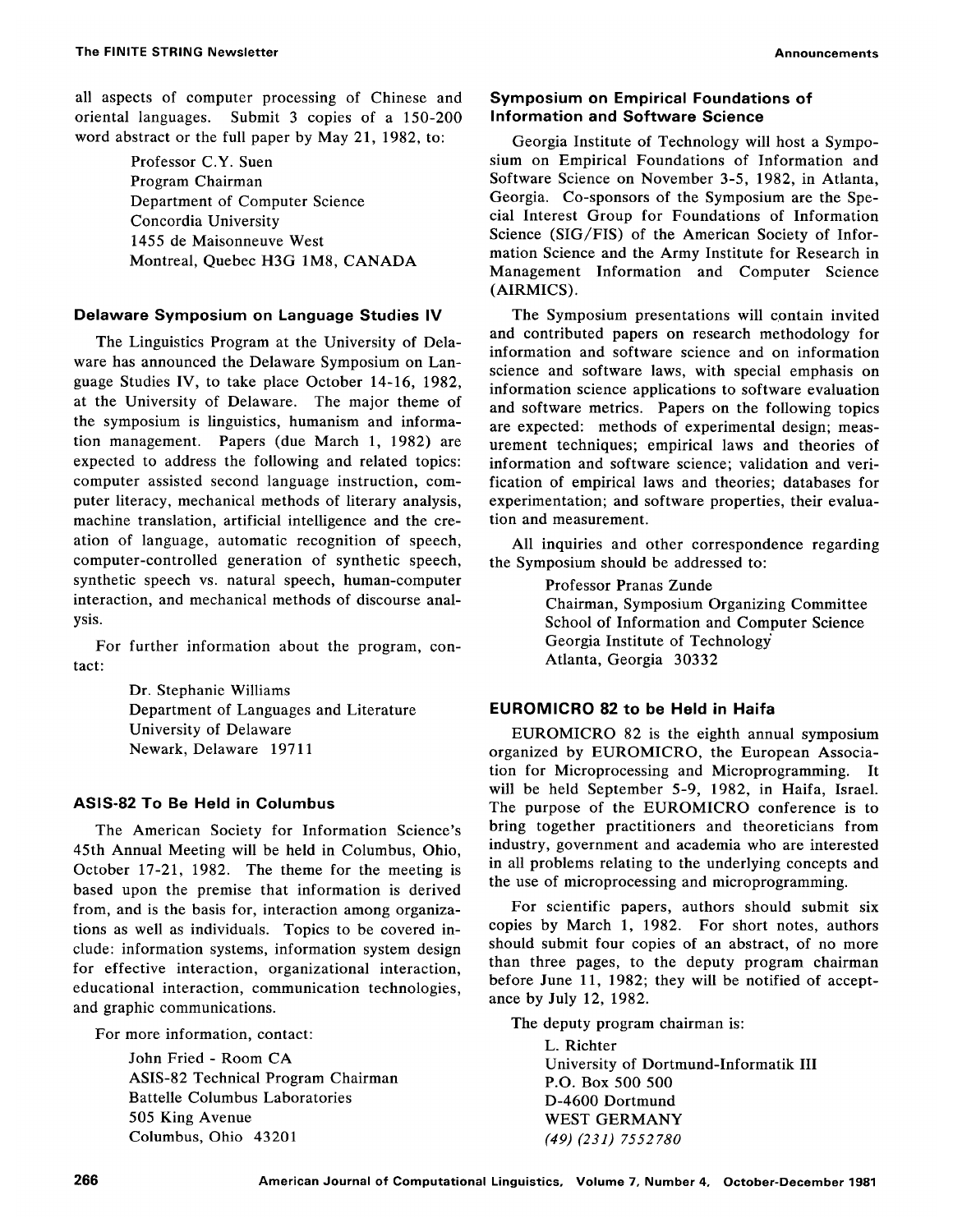all aspects of computer processing of Chinese and oriental languages. Submit 3 copies of a 150-200 word abstract or the full paper by May 21, 1982, to:

> Professor C.Y. Suen Program Chairman Department of Computer Science Concordia University 1455 de Maisonneuve West Montreal, Quebec H3G 1M8, CANADA

## **Delaware Symposium on Language Studies IV**

The Linguistics Program at the University of Delaware has announced the Delaware Symposium on Language Studies IV, to take place October 14-16, 1982, at the University of Delaware. The major theme of the symposium is linguistics, humanism and information management. Papers (due March 1, 1982) are expected to address the following and related topics: computer assisted second language instruction, computer literacy, mechanical methods of literary analysis, machine translation, artificial intelligence and the creation of language, automatic recognition of speech, computer-controlled generation of synthetic speech, synthetic speech vs. natural speech, human-computer interaction, and mechanical methods of discourse analysis.

For further information about the program, contact:

> Dr. Stephanie Williams Department of Languages and Literature University of Delaware Newark, Delaware 19711

#### **ASIS-82 To Be Held in Columbus**

The American Society for Information Science's 45th Annual Meeting will be held in Columbus, Ohio, October 17-21, 1982. The theme for the meeting is based upon the premise that information is derived from, and is the basis for, interaction among organizations as well as individuals. Topics to be covered include: information systems, information system design for effective interaction, organizational interaction, educational interaction, communication technologies, and graphic communications.

For more information, contact:

John Fried - Room CA ASIS-82 Technical Program Chairman Battelle Columbus Laboratories 505 King Avenue Columbus, Ohio 43201

## **Symposium on Empirical Foundations of Information and Software Science**

Georgia Institute of Technology will host a Symposium on Empirical Foundations of Information and Software Science on November 3-5, 1982, in Atlanta, Georgia. Co-sponsors of the Symposium are the Special Interest Group for Foundations of Information Science (SIG/FIS) of the American Society of Information Science and the Army Institute for Research in Management Information and Computer Science (AIRMICS).

The Symposium presentations will contain invited and contributed papers on research methodology for information and software science and on information science and software laws, with special emphasis on information science applications to software evaluation and software metrics. Papers on the following topics are expected: methods of experimental design; measurement techniques; empirical laws and theories of information and software science; validation and verification of empirical laws and theories; databases for *experimentation;* and software properties, their evaluation and measurement.

All inquiries and other correspondence regarding the Symposium should be addressed to:

> Professor Pranas Zunde Chairman, Symposium Organizing Committee School of Information and Computer Science Georgia Institute of Technology Atlanta, Georgia 30332

### **EUROMICRO 82 to be Held in Haifa**

EUROMICRO 82 is the eighth annual symposium organized by EUROMICRO, the European Association for Microprocessing and Microprogramming. It will be held September 5-9, 1982, in Haifa, Israel. The purpose of the EUROMICRO conference is to bring together practitioners and theoreticians from industry, government and academia who are interested in all problems relating to the underlying concepts and the use of microprocessing and microprogramming.

For scientific papers, authors should submit six copies by March 1, 1982. For short notes, authors should submit four copies of an abstract, of no more than three pages, to the deputy program chairman before June 11, 1982; they will be notified of acceptance by July 12, 1982.

The deputy program chairman is:

L. Richter University of Dortmund-Informatik III P.O. Box 500 500 D-4600 Dortmund WEST GERMANY *(49) (231) 7552780*